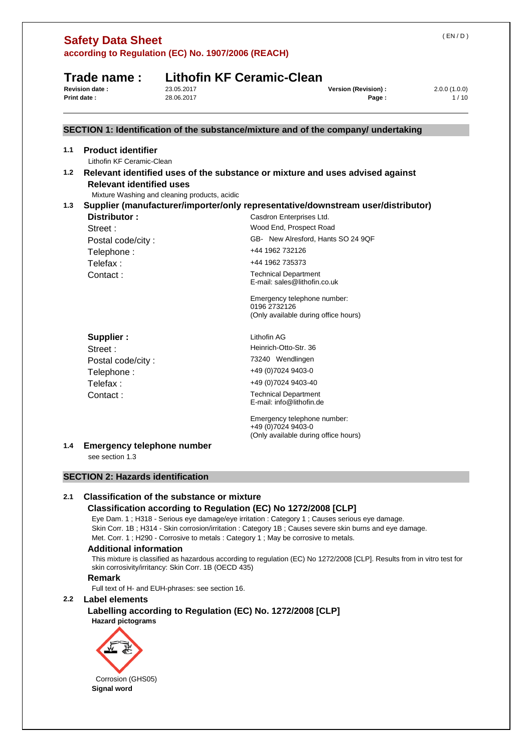| Trade name:<br><b>Revision date:</b><br>23.05.2017<br>28.06.2017      | <b>Lithofin KF Ceramic-Clean</b>                                                                                        |                      |
|-----------------------------------------------------------------------|-------------------------------------------------------------------------------------------------------------------------|----------------------|
|                                                                       | <b>Version (Revision):</b><br>Page:                                                                                     | 2.0.0(1.0.0)<br>1/10 |
|                                                                       | SECTION 1: Identification of the substance/mixture and of the company/ undertaking                                      |                      |
|                                                                       |                                                                                                                         |                      |
| <b>Product identifier</b><br>Lithofin KF Ceramic-Clean                |                                                                                                                         |                      |
| <b>Relevant identified uses</b>                                       | Relevant identified uses of the substance or mixture and uses advised against                                           |                      |
| Mixture Washing and cleaning products, acidic                         |                                                                                                                         |                      |
| Distributor:                                                          | Supplier (manufacturer/importer/only representative/downstream user/distributor)<br>Casdron Enterprises Ltd.            |                      |
| Street:                                                               | Wood End, Prospect Road                                                                                                 |                      |
| Postal code/city:                                                     | GB- New Alresford, Hants SO 24 9QF                                                                                      |                      |
| Telephone:                                                            | +44 1962 732126                                                                                                         |                      |
| Telefax:                                                              | +44 1962 735373                                                                                                         |                      |
| Contact:                                                              | <b>Technical Department</b><br>E-mail: sales@lithofin.co.uk                                                             |                      |
|                                                                       | Emergency telephone number:<br>0196 2732126<br>(Only available during office hours)                                     |                      |
| Supplier:                                                             | Lithofin AG                                                                                                             |                      |
| Street:                                                               | Heinrich-Otto-Str. 36                                                                                                   |                      |
| Postal code/city:                                                     | 73240 Wendlingen                                                                                                        |                      |
| Telephone:                                                            | +49 (0) 7024 9403-0                                                                                                     |                      |
| Telefax:                                                              | +49 (0) 7024 9403-40                                                                                                    |                      |
| Contact:                                                              | <b>Technical Department</b><br>E-mail: info@lithofin.de                                                                 |                      |
|                                                                       | Emergency telephone number:<br>+49 (0)7024 9403-0<br>(Only available during office hours)                               |                      |
| <b>Emergency telephone number</b><br>see section 1.3                  |                                                                                                                         |                      |
| <b>SECTION 2: Hazards identification</b>                              |                                                                                                                         |                      |
| <b>Classification of the substance or mixture</b>                     |                                                                                                                         |                      |
|                                                                       | Classification according to Regulation (EC) No 1272/2008 [CLP]                                                          |                      |
|                                                                       | Eye Dam. 1; H318 - Serious eye damage/eye irritation : Category 1; Causes serious eye damage.                           |                      |
|                                                                       | Skin Corr. 1B; H314 - Skin corrosion/irritation: Category 1B; Causes severe skin burns and eye damage.                  |                      |
|                                                                       | Met. Corr. 1; H290 - Corrosive to metals: Category 1; May be corrosive to metals.                                       |                      |
| <b>Additional information</b>                                         | This mixture is classified as hazardous according to regulation (EC) No 1272/2008 [CLP]. Results from in vitro test for |                      |
| skin corrosivity/irritancy: Skin Corr. 1B (OECD 435)<br><b>Remark</b> |                                                                                                                         |                      |
| Full text of H- and EUH-phrases: see section 16.                      |                                                                                                                         |                      |
| Label elements                                                        |                                                                                                                         |                      |
| <b>Hazard pictograms</b>                                              | Labelling according to Regulation (EC) No. 1272/2008 [CLP]                                                              |                      |
|                                                                       |                                                                                                                         |                      |
|                                                                       |                                                                                                                         |                      |
|                                                                       |                                                                                                                         |                      |
| Corrosion (GHS05)                                                     |                                                                                                                         |                      |
| Signal word                                                           |                                                                                                                         |                      |
|                                                                       |                                                                                                                         |                      |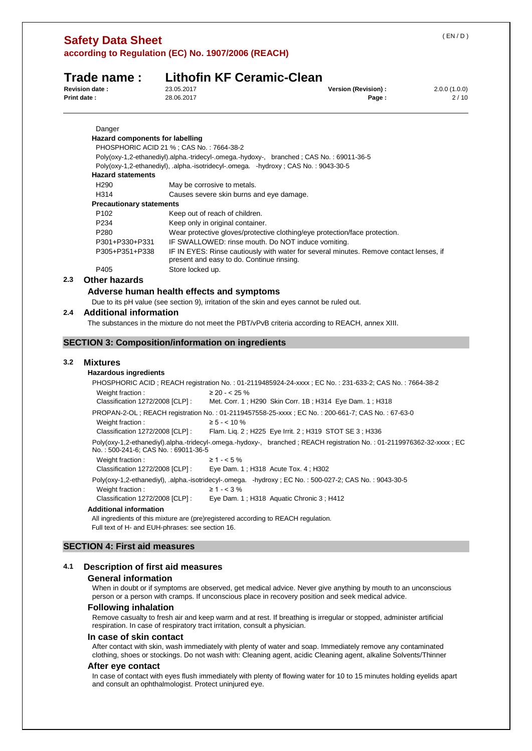|                                                                  | Trade name:                                              |                  | <b>Lithofin KF Ceramic-Clean</b>                   |                                                                                                                       |  |  |  |
|------------------------------------------------------------------|----------------------------------------------------------|------------------|----------------------------------------------------|-----------------------------------------------------------------------------------------------------------------------|--|--|--|
| <b>Revision date:</b><br>23.05.2017<br>28.06.2017<br>Print date: |                                                          |                  | Version (Revision) :<br>Page:                      | 2.0.0(1.0.0)<br>2/10                                                                                                  |  |  |  |
|                                                                  | Danger                                                   |                  |                                                    |                                                                                                                       |  |  |  |
|                                                                  | <b>Hazard components for labelling</b>                   |                  |                                                    |                                                                                                                       |  |  |  |
|                                                                  | PHOSPHORIC ACID 21 %; CAS No.: 7664-38-2                 |                  |                                                    |                                                                                                                       |  |  |  |
|                                                                  |                                                          |                  |                                                    | Poly(oxy-1,2-ethanediyl).alpha.-tridecyl-.omega.-hydoxy-, branched; CAS No.: 69011-36-5                               |  |  |  |
|                                                                  |                                                          |                  |                                                    | Poly(oxy-1,2-ethanediyl), .alpha.-isotridecyl-.omega. -hydroxy; CAS No.: 9043-30-5                                    |  |  |  |
|                                                                  | <b>Hazard statements</b>                                 |                  |                                                    |                                                                                                                       |  |  |  |
|                                                                  | H <sub>290</sub>                                         |                  | May be corrosive to metals.                        |                                                                                                                       |  |  |  |
|                                                                  | H314                                                     |                  | Causes severe skin burns and eye damage.           |                                                                                                                       |  |  |  |
|                                                                  | <b>Precautionary statements</b>                          |                  |                                                    |                                                                                                                       |  |  |  |
|                                                                  | P <sub>102</sub>                                         |                  | Keep out of reach of children.                     |                                                                                                                       |  |  |  |
|                                                                  | P234                                                     |                  | Keep only in original container.                   |                                                                                                                       |  |  |  |
|                                                                  | P280                                                     |                  |                                                    | Wear protective gloves/protective clothing/eye protection/face protection.                                            |  |  |  |
|                                                                  | P301+P330+P331                                           |                  | IF SWALLOWED: rinse mouth. Do NOT induce vomiting. |                                                                                                                       |  |  |  |
|                                                                  | P305+P351+P338                                           |                  | present and easy to do. Continue rinsing.          | IF IN EYES: Rinse cautiously with water for several minutes. Remove contact lenses, if                                |  |  |  |
|                                                                  | P405                                                     | Store locked up. |                                                    |                                                                                                                       |  |  |  |
| 2.3                                                              | <b>Other hazards</b>                                     |                  |                                                    |                                                                                                                       |  |  |  |
|                                                                  | Adverse human health effects and symptoms                |                  |                                                    |                                                                                                                       |  |  |  |
|                                                                  |                                                          |                  |                                                    | Due to its pH value (see section 9), irritation of the skin and eyes cannot be ruled out.                             |  |  |  |
| 2.4                                                              | <b>Additional information</b>                            |                  |                                                    |                                                                                                                       |  |  |  |
|                                                                  |                                                          |                  |                                                    | The substances in the mixture do not meet the PBT/vPvB criteria according to REACH, annex XIII.                       |  |  |  |
|                                                                  | <b>SECTION 3: Composition/information on ingredients</b> |                  |                                                    |                                                                                                                       |  |  |  |
|                                                                  |                                                          |                  |                                                    |                                                                                                                       |  |  |  |
| 3.2                                                              | <b>Mixtures</b>                                          |                  |                                                    |                                                                                                                       |  |  |  |
|                                                                  | <b>Hazardous ingredients</b>                             |                  |                                                    |                                                                                                                       |  |  |  |
|                                                                  |                                                          |                  |                                                    | PHOSPHORIC ACID; REACH registration No.: 01-2119485924-24-xxxx; EC No.: 231-633-2; CAS No.: 7664-38-2                 |  |  |  |
|                                                                  | Weight fraction:                                         |                  | $\geq$ 20 - < 25 %                                 |                                                                                                                       |  |  |  |
|                                                                  | Classification 1272/2008 [CLP] :                         |                  |                                                    | Met. Corr. 1; H290 Skin Corr. 1B; H314 Eye Dam. 1; H318                                                               |  |  |  |
|                                                                  |                                                          |                  |                                                    | PROPAN-2-OL; REACH registration No.: 01-2119457558-25-xxxx; EC No.: 200-661-7; CAS No.: 67-63-0                       |  |  |  |
|                                                                  | Weight fraction:                                         |                  | $\ge 5 - < 10 \%$                                  |                                                                                                                       |  |  |  |
|                                                                  | Classification 1272/2008 [CLP] :                         |                  |                                                    | Flam. Lig. 2; H225 Eye Irrit. 2; H319 STOT SE 3; H336                                                                 |  |  |  |
|                                                                  | No.: 500-241-6; CAS No.: 69011-36-5                      |                  |                                                    | Poly(oxy-1,2-ethanediyl).alpha.-tridecyl-.omega.-hydoxy-, branched; REACH registration No.: 01-2119976362-32-xxxx; EC |  |  |  |
|                                                                  | Weight fraction:                                         |                  | $\geq 1 - 5\%$                                     |                                                                                                                       |  |  |  |
|                                                                  | Classification 1272/2008 [CLP] :                         |                  |                                                    | Eye Dam. 1; H318 Acute Tox. 4; H302                                                                                   |  |  |  |
|                                                                  |                                                          |                  |                                                    | Poly(oxy-1,2-ethanediyl), .alpha.-isotridecyl-.omega. -hydroxy; EC No.: 500-027-2; CAS No.: 9043-30-5                 |  |  |  |
|                                                                  | Weight fraction:                                         |                  | $\geq 1 - < 3\%$                                   |                                                                                                                       |  |  |  |
|                                                                  | Classification 1272/2008 [CLP] :                         |                  |                                                    | Eye Dam. 1; H318 Aquatic Chronic 3; H412                                                                              |  |  |  |

#### **Additional information**

**Safety Data Sheet** 

All ingredients of this mixture are (pre)registered according to REACH regulation. Full text of H- and EUH-phrases: see section 16.

# **SECTION 4: First aid measures**

# **4.1 Description of first aid measures**

#### **General information**

When in doubt or if symptoms are observed, get medical advice. Never give anything by mouth to an unconscious person or a person with cramps. If unconscious place in recovery position and seek medical advice.

#### **Following inhalation**

Remove casualty to fresh air and keep warm and at rest. If breathing is irregular or stopped, administer artificial respiration. In case of respiratory tract irritation, consult a physician.

#### **In case of skin contact**

After contact with skin, wash immediately with plenty of water and soap. Immediately remove any contaminated clothing, shoes or stockings. Do not wash with: Cleaning agent, acidic Cleaning agent, alkaline Solvents/Thinner

#### **After eye contact**

In case of contact with eyes flush immediately with plenty of flowing water for 10 to 15 minutes holding eyelids apart and consult an ophthalmologist. Protect uninjured eye.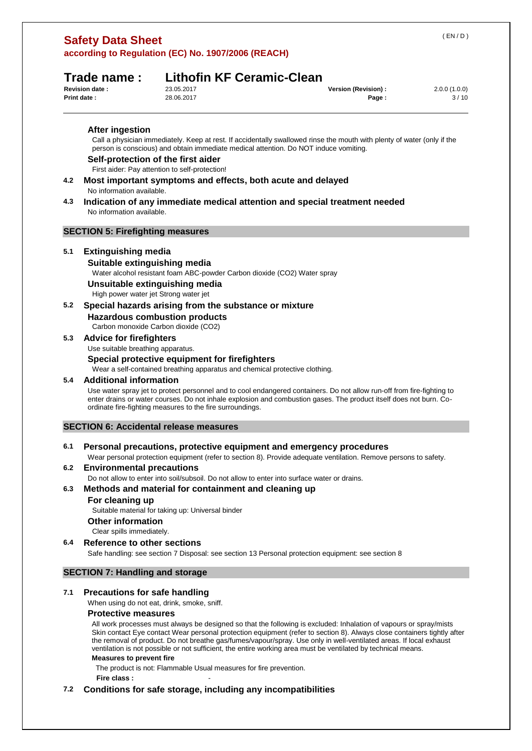| <b>Safety Data Sheet</b> |                                                    |
|--------------------------|----------------------------------------------------|
|                          | according to Regulation (EC) No. 1907/2006 (REACH) |

# **Trade name : Lithofin KF Ceramic-Clean**

| 23.05.2017 |
|------------|
| 28.06.2017 |

| <b>Revision date:</b> | 23.05.2017 | Version (Revision) : | 2.0.0(1.0.0) |
|-----------------------|------------|----------------------|--------------|
| <b>Print date:</b>    | 28.06.2017 | Page.                | 3/10         |

**After ingestion** 

Call a physician immediately. Keep at rest. If accidentally swallowed rinse the mouth with plenty of water (only if the person is conscious) and obtain immediate medical attention. Do NOT induce vomiting.

#### **Self-protection of the first aider**

First aider: Pay attention to self-protection!

- **4.2 Most important symptoms and effects, both acute and delayed**  No information available.
- **4.3 Indication of any immediate medical attention and special treatment needed**  No information available.

# **SECTION 5: Firefighting measures**

## **5.1 Extinguishing media**

#### **Suitable extinguishing media**

Water alcohol resistant foam ABC-powder Carbon dioxide (CO2) Water spray

**Unsuitable extinguishing media** 

High power water jet Strong water jet

## **5.2 Special hazards arising from the substance or mixture**

**Hazardous combustion products** 

Carbon monoxide Carbon dioxide (CO2)

# **5.3 Advice for firefighters**

Use suitable breathing apparatus.

#### **Special protective equipment for firefighters**

Wear a self-contained breathing apparatus and chemical protective clothing.

#### **5.4 Additional information**

Use water spray jet to protect personnel and to cool endangered containers. Do not allow run-off from fire-fighting to enter drains or water courses. Do not inhale explosion and combustion gases. The product itself does not burn. Coordinate fire-fighting measures to the fire surroundings.

## **SECTION 6: Accidental release measures**

## **6.1 Personal precautions, protective equipment and emergency procedures**

Wear personal protection equipment (refer to section 8). Provide adequate ventilation. Remove persons to safety.

#### **6.2 Environmental precautions**

Do not allow to enter into soil/subsoil. Do not allow to enter into surface water or drains.

## **6.3 Methods and material for containment and cleaning up**

#### **For cleaning up**

Suitable material for taking up: Universal binder

#### **Other information**

Clear spills immediately.

#### **6.4 Reference to other sections**

Safe handling: see section 7 Disposal: see section 13 Personal protection equipment: see section 8

# **SECTION 7: Handling and storage**

## **7.1 Precautions for safe handling**

When using do not eat, drink, smoke, sniff.

## **Protective measures**

All work processes must always be designed so that the following is excluded: Inhalation of vapours or spray/mists Skin contact Eye contact Wear personal protection equipment (refer to section 8). Always close containers tightly after the removal of product. Do not breathe gas/fumes/vapour/spray. Use only in well-ventilated areas. If local exhaust ventilation is not possible or not sufficient, the entire working area must be ventilated by technical means.

# **Measures to prevent fire**

The product is not: Flammable Usual measures for fire prevention.

**Fire class :** -

# **7.2 Conditions for safe storage, including any incompatibilities**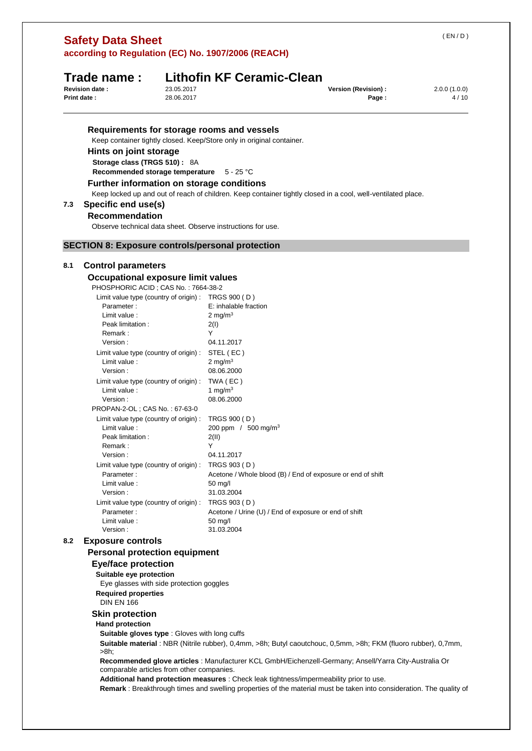| <b>Safety Data Sheet</b>                   |  |
|--------------------------------------------|--|
| seconding to Poquiation (EC) No. 1007/2000 |  |

# **Trade name : Lithofin KF Ceramic-Clean**

| <b>Revision date :</b> | 23.05.2017 | Version (Revision) : | 2.0.0(1.0.0) |
|------------------------|------------|----------------------|--------------|
| <b>Print date:</b>     | 28.06.2017 | Page.                | 4/10         |

## **Requirements for storage rooms and vessels**

Keep container tightly closed. Keep/Store only in original container.

# **Hints on joint storage**

**Storage class (TRGS 510) :** 8A

**Recommended storage temperature** 5 - 25 °C

# **Further information on storage conditions**

Keep locked up and out of reach of children. Keep container tightly closed in a cool, well-ventilated place.

# **7.3 Specific end use(s)**

# **Recommendation**

Observe technical data sheet. Observe instructions for use.

# **SECTION 8: Exposure controls/personal protection**

# **8.1 Control parameters**

**Occupational exposure limit values** 

| PHOSPHORIC ACID ; CAS No. : 7664-38-2 |
|---------------------------------------|
|---------------------------------------|

| Limit value type (country of origin) : | TRGS 900 (D)                                                |
|----------------------------------------|-------------------------------------------------------------|
| Parameter:                             | E: inhalable fraction                                       |
| Limit value:                           | 2 mg/m $3$                                                  |
| Peak limitation:                       | 2(1)                                                        |
| Remark:                                | Y                                                           |
| Version:                               | 04.11.2017                                                  |
| Limit value type (country of origin) : | STEL (EC)                                                   |
| Limit value:                           | 2 mg/m $3$                                                  |
| Version:                               | 08.06.2000                                                  |
| Limit value type (country of origin) : | TWA (EC)                                                    |
| Limit value:                           | 1 mg/m $3$                                                  |
| Version:                               | 08.06.2000                                                  |
| PROPAN-2-OL : CAS No. : 67-63-0        |                                                             |
| Limit value type (country of origin) : | TRGS 900 (D)                                                |
| Limit value:                           | 200 ppm / $500 \text{ mg/m}^3$                              |
| Peak limitation:                       | 2(11)                                                       |
| Remark:                                | Υ                                                           |
| Version:                               | 04.11.2017                                                  |
| Limit value type (country of origin) : | TRGS 903 (D)                                                |
| Parameter:                             | Acetone / Whole blood (B) / End of exposure or end of shift |
| Limit value:                           | $50 \text{ mq/l}$                                           |
| Version:                               | 31.03.2004                                                  |
| Limit value type (country of origin):  | TRGS 903 (D)                                                |
| Parameter:                             | Acetone / Urine (U) / End of exposure or end of shift       |
| Limit value:                           | 50 mg/l                                                     |
| Version:                               | 31.03.2004                                                  |

## **8.2 Exposure controls**

## **Personal protection equipment**

# **Eye/face protection**

**Suitable eye protection**  Eye glasses with side protection goggles **Required properties** 

DIN EN 166

## **Skin protection**

#### **Hand protection**

**Suitable gloves type** : Gloves with long cuffs

**Suitable material** : NBR (Nitrile rubber), 0,4mm, >8h; Butyl caoutchouc, 0,5mm, >8h; FKM (fluoro rubber), 0,7mm, >8h;

**Recommended glove articles** : Manufacturer KCL GmbH/Eichenzell-Germany; Ansell/Yarra City-Australia Or comparable articles from other companies.

**Additional hand protection measures** : Check leak tightness/impermeability prior to use.

**Remark** : Breakthrough times and swelling properties of the material must be taken into consideration. The quality of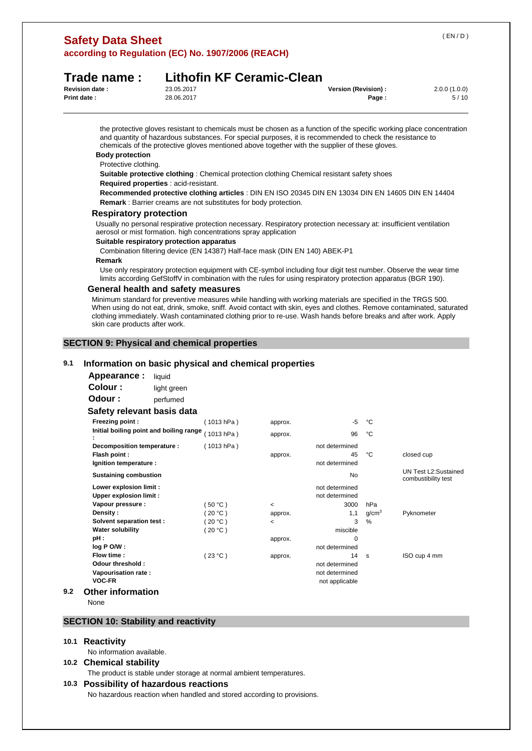# **Safety Data Sheet according to Regulation (EC) No. 1907/2006 (REACH)**

# **Trade name : Lithofin KF Ceramic-Clean**

| <b>Revision date:</b> | 23.05.2017 | Version (Revision) : | 2.0.0(1.0.0) |
|-----------------------|------------|----------------------|--------------|
| Print date:           | 28.06.2017 | Page                 | 5/10         |

the protective gloves resistant to chemicals must be chosen as a function of the specific working place concentration and quantity of hazardous substances. For special purposes, it is recommended to check the resistance to chemicals of the protective gloves mentioned above together with the supplier of these gloves.

# **Body protection**

Protective clothing.

**Suitable protective clothing** : Chemical protection clothing Chemical resistant safety shoes

# **Required properties** : acid-resistant.

**Recommended protective clothing articles** : DIN EN ISO 20345 DIN EN 13034 DIN EN 14605 DIN EN 14404 **Remark** : Barrier creams are not substitutes for body protection.

#### **Respiratory protection**

Usually no personal respirative protection necessary. Respiratory protection necessary at: insufficient ventilation aerosol or mist formation. high concentrations spray application

#### **Suitable respiratory protection apparatus**

Combination filtering device (EN 14387) Half-face mask (DIN EN 140) ABEK-P1

#### **Remark**

Use only respiratory protection equipment with CE-symbol including four digit test number. Observe the wear time limits according GefStoffV in combination with the rules for using respiratory protection apparatus (BGR 190).

## **General health and safety measures**

Minimum standard for preventive measures while handling with working materials are specified in the TRGS 500. When using do not eat, drink, smoke, sniff. Avoid contact with skin, eyes and clothes. Remove contaminated, saturated clothing immediately. Wash contaminated clothing prior to re-use. Wash hands before breaks and after work. Apply skin care products after work.

## **SECTION 9: Physical and chemical properties**

#### **9.1 Information on basic physical and chemical properties**

| Appearance : | liquid      |  |  |
|--------------|-------------|--|--|
| Colour :     | light green |  |  |
| Odour :      | perfumed    |  |  |

#### **Safety relevant basis data**

|     | Freezing point:                         | (1013 hPa)  | approx. | -5             | °С                |                                             |
|-----|-----------------------------------------|-------------|---------|----------------|-------------------|---------------------------------------------|
|     | Initial boiling point and boiling range | (1013 hPa)  | approx. | 96             | °C                |                                             |
|     | Decomposition temperature :             | (1013 hPa ) |         | not determined |                   |                                             |
|     | Flash point :                           |             | approx. | 45             | °C                | closed cup                                  |
|     | Ignition temperature :                  |             |         | not determined |                   |                                             |
|     | <b>Sustaining combustion</b>            |             |         | No             |                   | UN Test L2:Sustained<br>combustibility test |
|     | Lower explosion limit :                 |             |         | not determined |                   |                                             |
|     | <b>Upper explosion limit:</b>           |             |         | not determined |                   |                                             |
|     | Vapour pressure :                       | $50 °C$ )   | $\prec$ | 3000           | hPa               |                                             |
|     | Density:                                | $20 °C$ )   | approx. | 1,1            | q/cm <sup>3</sup> | Pyknometer                                  |
|     | Solvent separation test:                | $20 °C$ )   | $\,<$   | 3              | %                 |                                             |
|     | <b>Water solubility</b>                 | (20 °C )    |         | miscible       |                   |                                             |
|     | pH :                                    |             | approx. | $\Omega$       |                   |                                             |
|     | log P O/W:                              |             |         | not determined |                   |                                             |
|     | Flow time:                              | (23 °C)     | approx. | 14             | <b>S</b>          | ISO cup 4 mm                                |
|     | Odour threshold:                        |             |         | not determined |                   |                                             |
|     | Vapourisation rate:                     |             |         | not determined |                   |                                             |
|     | <b>VOC-FR</b>                           |             |         | not applicable |                   |                                             |
| 9.2 | <b>Other information</b>                |             |         |                |                   |                                             |

None

# **SECTION 10: Stability and reactivity**

#### **10.1 Reactivity**

No information available.

#### **10.2 Chemical stability**

The product is stable under storage at normal ambient temperatures.

#### **10.3 Possibility of hazardous reactions**

No hazardous reaction when handled and stored according to provisions.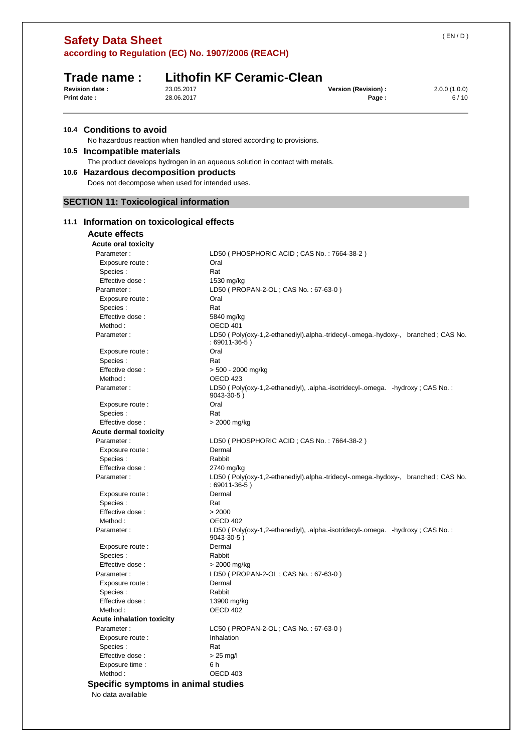| (EN/D)       |                      | according to Regulation (EC) No. 1907/2006 (REACH)                                                  | <b>Safety Data Sheet</b>                     |             |
|--------------|----------------------|-----------------------------------------------------------------------------------------------------|----------------------------------------------|-------------|
|              |                      |                                                                                                     |                                              |             |
|              |                      | <b>Lithofin KF Ceramic-Clean</b>                                                                    | Trade name:                                  |             |
| 2.0.0(1.0.0) | Version (Revision) : | 23.05.2017                                                                                          | <b>Revision date:</b>                        |             |
| 6/10         | Page:                | 28.06.2017                                                                                          |                                              | Print date: |
|              |                      |                                                                                                     | 10.4 Conditions to avoid                     |             |
|              |                      | No hazardous reaction when handled and stored according to provisions.                              |                                              |             |
|              |                      |                                                                                                     | 10.5 Incompatible materials                  |             |
|              |                      | The product develops hydrogen in an aqueous solution in contact with metals.                        |                                              |             |
|              |                      |                                                                                                     | 10.6 Hazardous decomposition products        |             |
|              |                      | Does not decompose when used for intended uses.                                                     |                                              |             |
|              |                      |                                                                                                     | <b>SECTION 11: Toxicological information</b> |             |
|              |                      |                                                                                                     | 11.1 Information on toxicological effects    |             |
|              |                      |                                                                                                     | <b>Acute effects</b>                         |             |
|              |                      |                                                                                                     | Acute oral toxicity                          |             |
|              |                      | LD50 (PHOSPHORIC ACID; CAS No.: 7664-38-2)                                                          | Parameter:                                   |             |
|              |                      | Oral                                                                                                | Exposure route :                             |             |
|              |                      | Rat                                                                                                 | Species:                                     |             |
|              |                      | 1530 mg/kg                                                                                          | Effective dose:                              |             |
|              |                      | LD50 ( PROPAN-2-OL ; CAS No.: 67-63-0 )                                                             | Parameter:                                   |             |
|              |                      | Oral<br>Rat                                                                                         | Exposure route :<br>Species:                 |             |
|              |                      | 5840 mg/kg                                                                                          | Effective dose:                              |             |
|              |                      | OECD 401                                                                                            | Method:                                      |             |
|              |                      | LD50 (Poly(oxy-1,2-ethanediyl).alpha.-tridecyl-.omega.-hydoxy-, branched; CAS No.                   | Parameter:                                   |             |
|              |                      | $:69011-36-5)$                                                                                      |                                              |             |
|              |                      | Oral                                                                                                | Exposure route :                             |             |
|              |                      | Rat                                                                                                 | Species:                                     |             |
|              |                      | > 500 - 2000 mg/kg                                                                                  | Effective dose:                              |             |
|              |                      | OECD 423                                                                                            | Method:                                      |             |
|              |                      | LD50 (Poly(oxy-1,2-ethanediyl), .alpha.-isotridecyl-.omega. -hydroxy; CAS No.:<br>$9043 - 30 - 5$ ) | Parameter:                                   |             |
|              |                      | Oral                                                                                                | Exposure route :                             |             |
|              |                      | Rat                                                                                                 | Species:                                     |             |
|              |                      | > 2000 mg/kg                                                                                        | Effective dose:                              |             |
|              |                      |                                                                                                     | <b>Acute dermal toxicity</b>                 |             |
|              |                      | LD50 (PHOSPHORIC ACID; CAS No.: 7664-38-2)<br>Dermal                                                | Parameter:<br>Exposure route :               |             |
|              |                      | Rabbit                                                                                              | Species:                                     |             |
|              |                      | 2740 mg/kg                                                                                          | Effective dose:                              |             |
|              |                      | LD50 (Poly(oxy-1,2-ethanediyl).alpha.-tridecyl-.omega.-hydoxy-, branched; CAS No.                   | Parameter:                                   |             |
|              |                      | $:69011-36-5)$                                                                                      |                                              |             |
|              |                      | Dermal                                                                                              | Exposure route :                             |             |
|              |                      | Rat                                                                                                 | Species:                                     |             |
|              |                      | > 2000<br>OECD 402                                                                                  | Effective dose:<br>Method:                   |             |
|              |                      | LD50 (Poly(oxy-1,2-ethanediyl), .alpha.-isotridecyl-.omega. -hydroxy: CAS No.:                      | Parameter:                                   |             |
|              |                      | $9043 - 30 - 5$ )                                                                                   |                                              |             |
|              |                      | Dermal                                                                                              | Exposure route :                             |             |
|              |                      | Rabbit                                                                                              | Species :                                    |             |
|              |                      | > 2000 mg/kg                                                                                        | Effective dose:                              |             |
|              |                      | LD50 (PROPAN-2-OL; CAS No.: 67-63-0)                                                                | Parameter:                                   |             |
|              |                      | Dermal                                                                                              | Exposure route :                             |             |
|              |                      | Rabbit                                                                                              | Species:                                     |             |
|              |                      | 13900 mg/kg                                                                                         | Effective dose:                              |             |
|              |                      | OECD 402                                                                                            | Method:                                      |             |
|              |                      |                                                                                                     | <b>Acute inhalation toxicity</b>             |             |
|              |                      | LC50 (PROPAN-2-OL; CAS No.: 67-63-0)                                                                | Parameter:                                   |             |
|              |                      | Inhalation                                                                                          | Exposure route :                             |             |
|              |                      | Rat                                                                                                 | Species:                                     |             |
|              |                      | $> 25$ mg/l                                                                                         | Effective dose:                              |             |
|              |                      | 6 h                                                                                                 | Exposure time :                              |             |
|              |                      | OECD 403                                                                                            | Method:                                      |             |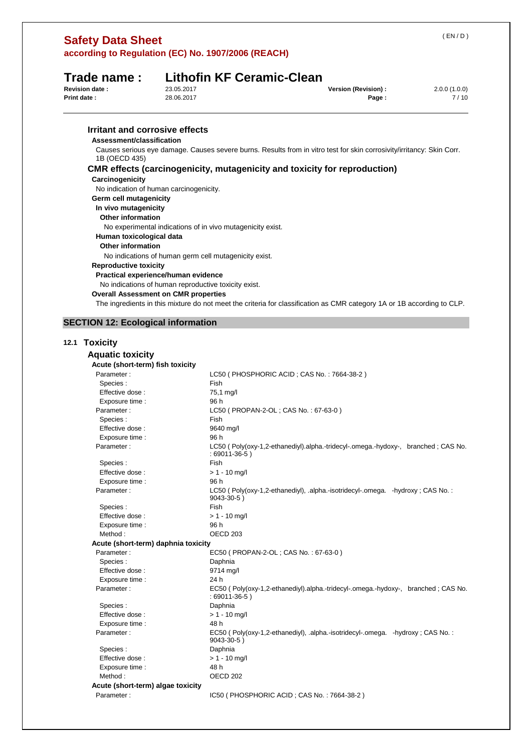| according to Regulation (EC) No. 1907/2006 (REACH)  |                                                      |                                                                                                                        |                               |                      |
|-----------------------------------------------------|------------------------------------------------------|------------------------------------------------------------------------------------------------------------------------|-------------------------------|----------------------|
| Trade name:<br><b>Revision date:</b><br>Print date: | 23.05.2017<br>28.06.2017                             | <b>Lithofin KF Ceramic-Clean</b>                                                                                       | Version (Revision) :<br>Page: | 2.0.0(1.0.0)<br>7/10 |
|                                                     |                                                      |                                                                                                                        |                               |                      |
| <b>Irritant and corrosive effects</b>               |                                                      |                                                                                                                        |                               |                      |
| Assessment/classification                           |                                                      |                                                                                                                        |                               |                      |
| 1B (OECD 435)                                       |                                                      | Causes serious eye damage. Causes severe burns. Results from in vitro test for skin corrosivity/irritancy: Skin Corr.  |                               |                      |
|                                                     |                                                      | <b>CMR</b> effects (carcinogenicity, mutagenicity and toxicity for reproduction)                                       |                               |                      |
| Carcinogenicity                                     |                                                      |                                                                                                                        |                               |                      |
| No indication of human carcinogenicity.             |                                                      |                                                                                                                        |                               |                      |
| Germ cell mutagenicity                              |                                                      |                                                                                                                        |                               |                      |
| In vivo mutagenicity                                |                                                      |                                                                                                                        |                               |                      |
| <b>Other information</b>                            |                                                      |                                                                                                                        |                               |                      |
|                                                     |                                                      | No experimental indications of in vivo mutagenicity exist.                                                             |                               |                      |
| Human toxicological data                            |                                                      |                                                                                                                        |                               |                      |
| <b>Other information</b>                            |                                                      |                                                                                                                        |                               |                      |
|                                                     |                                                      | No indications of human germ cell mutagenicity exist.                                                                  |                               |                      |
| <b>Reproductive toxicity</b>                        |                                                      |                                                                                                                        |                               |                      |
| Practical experience/human evidence                 |                                                      |                                                                                                                        |                               |                      |
|                                                     | No indications of human reproductive toxicity exist. |                                                                                                                        |                               |                      |
| <b>Overall Assessment on CMR properties</b>         |                                                      |                                                                                                                        |                               |                      |
|                                                     |                                                      | The ingredients in this mixture do not meet the criteria for classification as CMR category 1A or 1B according to CLP. |                               |                      |
|                                                     |                                                      |                                                                                                                        |                               |                      |
| <b>SECTION 12: Ecological information</b>           |                                                      |                                                                                                                        |                               |                      |
| 12.1 Toxicity                                       |                                                      |                                                                                                                        |                               |                      |
| <b>Aquatic toxicity</b>                             |                                                      |                                                                                                                        |                               |                      |
|                                                     |                                                      |                                                                                                                        |                               |                      |
| Acute (short-term) fish toxicity<br>Parameter:      |                                                      | LC50 (PHOSPHORIC ACID; CAS No.: 7664-38-2)                                                                             |                               |                      |
| Species:                                            |                                                      | Fish                                                                                                                   |                               |                      |
| Effective dose :                                    |                                                      | 75,1 mg/l                                                                                                              |                               |                      |
| Exposure time :                                     |                                                      | 96 h                                                                                                                   |                               |                      |
| Parameter:                                          |                                                      | LC50 (PROPAN-2-OL; CAS No.: 67-63-0)                                                                                   |                               |                      |
| Species :                                           |                                                      | Fish                                                                                                                   |                               |                      |
| Effective dose:                                     |                                                      | 9640 mg/l                                                                                                              |                               |                      |
| Exposure time :                                     |                                                      | 96 h                                                                                                                   |                               |                      |
| Parameter:                                          |                                                      | LC50 (Poly(oxy-1,2-ethanediyl).alpha.-tridecyl-.omega.-hydoxy-, branched; CAS No.<br>$:69011-36-5)$                    |                               |                      |
| Species :                                           |                                                      | Fish                                                                                                                   |                               |                      |
| Effective dose:                                     |                                                      | $> 1 - 10$ mg/l                                                                                                        |                               |                      |
| Exposure time :                                     |                                                      | 96 h                                                                                                                   |                               |                      |
| Parameter:                                          |                                                      | LC50 (Poly(oxy-1,2-ethanediyl), .alpha.-isotridecyl-.omega. -hydroxy; CAS No.:<br>9043-30-5)                           |                               |                      |

**Safety Data Sheet** 

# Species : Fish Effective dose :  $> 1 - 10$  mg/l Exposure time : 96 h Method : CONTROLL CONTROLL CONTROLL CONTROLL CONTROLL OF CONTROLL CONTROLL CONTROLL CONTROLL CONTROLL CONTROLL CONTROLL CONTROLL CONTROLL CONTROLL CONTROLL CONTROLL CONTROLL CONTROLL CONTROLL CONTROLL CONTROLL CONTROLL CON **Acute (short-term) daphnia toxicity**  Parameter : EC50 ( PROPAN-2-OL ; CAS No. : 67-63-0 ) Species : Daphnia Effective dose : 9714 mg/l Exposure time : 24 h Parameter : EC50 ( Poly(oxy-1,2-ethanediyl).alpha.-tridecyl-.omega.-hydoxy-, branched ; CAS No. : 69011-36-5 ) Species : Daphnia Effective dose :  $> 1 - 10$  mg/l Exposure time : 48 h Parameter : <br> EC50 ( Poly(oxy-1,2-ethanediyl), .alpha.-isotridecyl-.omega. -hydroxy ; CAS No. : 9043-30-5 ) Species : Daphnia Effective dose :  $> 1 - 10$  mg/l Exposure time : 48 h Method : CONTROLL CONTROLL OF CONTROLL OF CONTROLL OF CONTROLL OF CONTROLL OF CONTROLL OF CONTROLL OF CONTROLL OF CONTROLL OF CONTROLL OF CONTROLL OF CONTROLL OF CONTROLL OF CONTROLL OF CONTROLL OF CONTROLL OF CONTROLL OF **Acute (short-term) algae toxicity**  Parameter : IC50 ( PHOSPHORIC ACID ; CAS No. : 7664-38-2 )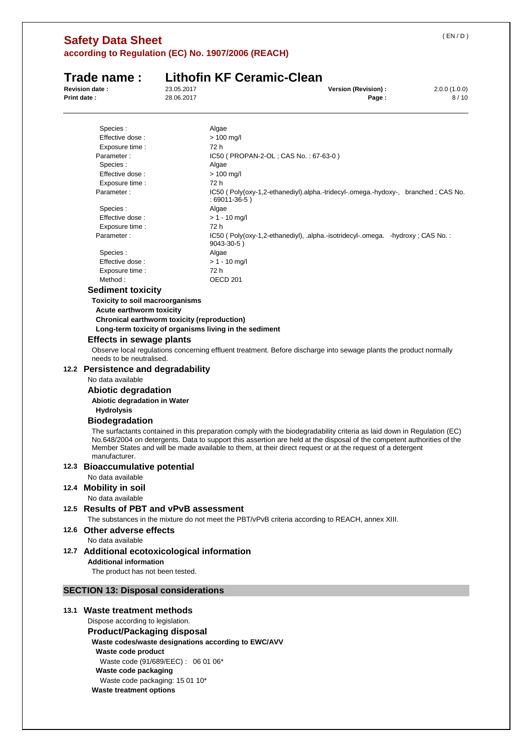# **Safety Data Sheet according to Regulation (EC) No. 1907/2006 (REACH)**

# **Trade name : Lithofin KF Ceramic-Clean**

**Revision date :** 23.05.2017 **Version (Revision) :** 2.0.0 (1.0.0)

| Revision date :    | 23.05.2017 | version (Revision) : | $2.0.0$ (1.0.0) |
|--------------------|------------|----------------------|-----------------|
| <b>Print date:</b> | 28.06.2017 | Page.                | 8/10            |
|                    |            |                      |                 |

| Species:                                                                                                                                                                                                                                                                                                                                                                         | Algae                                                                                                             |  |  |
|----------------------------------------------------------------------------------------------------------------------------------------------------------------------------------------------------------------------------------------------------------------------------------------------------------------------------------------------------------------------------------|-------------------------------------------------------------------------------------------------------------------|--|--|
| Effective dose :                                                                                                                                                                                                                                                                                                                                                                 | $> 100$ mg/l                                                                                                      |  |  |
| Exposure time :                                                                                                                                                                                                                                                                                                                                                                  | 72 h                                                                                                              |  |  |
| Parameter:                                                                                                                                                                                                                                                                                                                                                                       | IC50 ( PROPAN-2-OL ; CAS No. : 67-63-0 )                                                                          |  |  |
| Species :                                                                                                                                                                                                                                                                                                                                                                        | Algae                                                                                                             |  |  |
| Effective dose:                                                                                                                                                                                                                                                                                                                                                                  | $> 100$ mg/l                                                                                                      |  |  |
| Exposure time :                                                                                                                                                                                                                                                                                                                                                                  | 72 h                                                                                                              |  |  |
| Parameter:                                                                                                                                                                                                                                                                                                                                                                       | IC50 (Poly(oxy-1,2-ethanediyl).alpha.-tridecyl-.omega.-hydoxy-, branched; CAS No.<br>$:69011-36-5)$               |  |  |
| Species :                                                                                                                                                                                                                                                                                                                                                                        | Algae                                                                                                             |  |  |
| Effective dose:                                                                                                                                                                                                                                                                                                                                                                  | $> 1 - 10$ mg/l                                                                                                   |  |  |
| Exposure time :                                                                                                                                                                                                                                                                                                                                                                  | 72 h                                                                                                              |  |  |
| Parameter:                                                                                                                                                                                                                                                                                                                                                                       | IC50 (Poly(oxy-1,2-ethanediyl), .alpha.-isotridecyl-.omega. -hydroxy; CAS No.:<br>9043-30-5)                      |  |  |
| Species:                                                                                                                                                                                                                                                                                                                                                                         | Algae                                                                                                             |  |  |
| Effective dose:                                                                                                                                                                                                                                                                                                                                                                  | $> 1 - 10$ mg/l                                                                                                   |  |  |
| Exposure time :                                                                                                                                                                                                                                                                                                                                                                  | 72 h                                                                                                              |  |  |
| Method:                                                                                                                                                                                                                                                                                                                                                                          | OECD <sub>201</sub>                                                                                               |  |  |
| <b>Sediment toxicity</b>                                                                                                                                                                                                                                                                                                                                                         |                                                                                                                   |  |  |
| Toxicity to soil macroorganisms                                                                                                                                                                                                                                                                                                                                                  |                                                                                                                   |  |  |
| Acute earthworm toxicity                                                                                                                                                                                                                                                                                                                                                         |                                                                                                                   |  |  |
| Chronical earthworm toxicity (reproduction)                                                                                                                                                                                                                                                                                                                                      |                                                                                                                   |  |  |
| Long-term toxicity of organisms living in the sediment                                                                                                                                                                                                                                                                                                                           |                                                                                                                   |  |  |
| <b>Effects in sewage plants</b>                                                                                                                                                                                                                                                                                                                                                  |                                                                                                                   |  |  |
| needs to be neutralised.                                                                                                                                                                                                                                                                                                                                                         | Observe local regulations concerning effluent treatment. Before discharge into sewage plants the product normally |  |  |
| 12.2 Persistence and degradability                                                                                                                                                                                                                                                                                                                                               |                                                                                                                   |  |  |
| No data available                                                                                                                                                                                                                                                                                                                                                                |                                                                                                                   |  |  |
|                                                                                                                                                                                                                                                                                                                                                                                  |                                                                                                                   |  |  |
| <b>Abiotic degradation</b>                                                                                                                                                                                                                                                                                                                                                       |                                                                                                                   |  |  |
| Abiotic degradation in Water                                                                                                                                                                                                                                                                                                                                                     |                                                                                                                   |  |  |
| <b>Hydrolysis</b>                                                                                                                                                                                                                                                                                                                                                                |                                                                                                                   |  |  |
| <b>Biodegradation</b>                                                                                                                                                                                                                                                                                                                                                            |                                                                                                                   |  |  |
| The surfactants contained in this preparation comply with the biodegradability criteria as laid down in Regulation (EC)<br>No.648/2004 on detergents. Data to support this assertion are held at the disposal of the competent authorities of the<br>Member States and will be made available to them, at their direct request or at the request of a detergent<br>manufacturer. |                                                                                                                   |  |  |
| 12.3 Bioaccumulative potential                                                                                                                                                                                                                                                                                                                                                   |                                                                                                                   |  |  |
| No data available                                                                                                                                                                                                                                                                                                                                                                |                                                                                                                   |  |  |
| 12.4 Mobility in soil                                                                                                                                                                                                                                                                                                                                                            |                                                                                                                   |  |  |
| No data available                                                                                                                                                                                                                                                                                                                                                                |                                                                                                                   |  |  |
| 12.5 Results of PBT and vPvB assessment                                                                                                                                                                                                                                                                                                                                          |                                                                                                                   |  |  |
|                                                                                                                                                                                                                                                                                                                                                                                  | The substances in the mixture do not meet the PBT/vPvB criteria according to REACH, annex XIII.                   |  |  |
|                                                                                                                                                                                                                                                                                                                                                                                  |                                                                                                                   |  |  |
| 12.6 Other adverse effects                                                                                                                                                                                                                                                                                                                                                       |                                                                                                                   |  |  |
| No data available                                                                                                                                                                                                                                                                                                                                                                |                                                                                                                   |  |  |
| 12.7 Additional ecotoxicological information                                                                                                                                                                                                                                                                                                                                     |                                                                                                                   |  |  |
| <b>Additional information</b>                                                                                                                                                                                                                                                                                                                                                    |                                                                                                                   |  |  |
| The product has not been tested.                                                                                                                                                                                                                                                                                                                                                 |                                                                                                                   |  |  |
| <b>SECTION 13: Disposal considerations</b>                                                                                                                                                                                                                                                                                                                                       |                                                                                                                   |  |  |
| 13.1 Waste treatment methods                                                                                                                                                                                                                                                                                                                                                     |                                                                                                                   |  |  |
| Dispose according to legislation.                                                                                                                                                                                                                                                                                                                                                |                                                                                                                   |  |  |
|                                                                                                                                                                                                                                                                                                                                                                                  |                                                                                                                   |  |  |
| <b>Product/Packaging disposal</b>                                                                                                                                                                                                                                                                                                                                                |                                                                                                                   |  |  |
| Waste codes/waste designations according to EWC/AVV                                                                                                                                                                                                                                                                                                                              |                                                                                                                   |  |  |

**Waste code product**  Waste code (91/689/EEC) : 06 01 06\*

**Waste code packaging** 

Waste code packaging: 15 01 10\*

**Waste treatment options**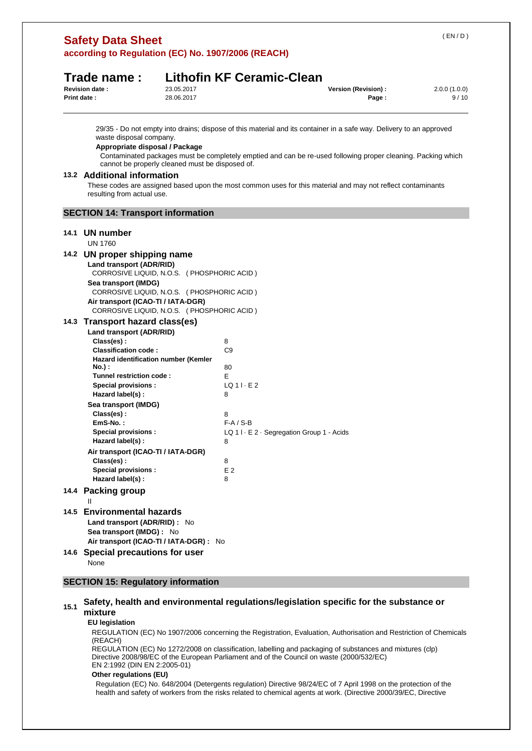|      | (EN/D)<br><b>Safety Data Sheet</b><br>according to Regulation (EC) No. 1907/2006 (REACH)               |                                                 |                                  |                                                                                                                                                                                                                                     |                      |
|------|--------------------------------------------------------------------------------------------------------|-------------------------------------------------|----------------------------------|-------------------------------------------------------------------------------------------------------------------------------------------------------------------------------------------------------------------------------------|----------------------|
|      | Trade name :                                                                                           |                                                 | <b>Lithofin KF Ceramic-Clean</b> |                                                                                                                                                                                                                                     |                      |
|      | <b>Revision date:</b><br>Print date:                                                                   | 23.05.2017<br>28.06.2017                        |                                  | Version (Revision) :<br>Page:                                                                                                                                                                                                       | 2.0.0(1.0.0)<br>9/10 |
|      | waste disposal company.<br>Appropriate disposal / Package<br>13.2 Additional information               | cannot be properly cleaned must be disposed of. |                                  | 29/35 - Do not empty into drains; dispose of this material and its container in a safe way. Delivery to an approved<br>Contaminated packages must be completely emptied and can be re-used following proper cleaning. Packing which |                      |
|      | resulting from actual use.                                                                             |                                                 |                                  | These codes are assigned based upon the most common uses for this material and may not reflect contaminants                                                                                                                         |                      |
|      | <b>SECTION 14: Transport information</b>                                                               |                                                 |                                  |                                                                                                                                                                                                                                     |                      |
|      | 14.1 UN number<br><b>UN 1760</b>                                                                       |                                                 |                                  |                                                                                                                                                                                                                                     |                      |
|      |                                                                                                        |                                                 |                                  |                                                                                                                                                                                                                                     |                      |
|      | 14.2 UN proper shipping name<br>Land transport (ADR/RID)<br>CORROSIVE LIQUID, N.O.S. (PHOSPHORIC ACID) |                                                 |                                  |                                                                                                                                                                                                                                     |                      |
|      | Sea transport (IMDG)<br>CORROSIVE LIQUID, N.O.S. (PHOSPHORIC ACID)                                     |                                                 |                                  |                                                                                                                                                                                                                                     |                      |
|      | Air transport (ICAO-TI / IATA-DGR)<br>CORROSIVE LIQUID, N.O.S. (PHOSPHORIC ACID)                       |                                                 |                                  |                                                                                                                                                                                                                                     |                      |
|      | 14.3 Transport hazard class(es)                                                                        |                                                 |                                  |                                                                                                                                                                                                                                     |                      |
|      | Land transport (ADR/RID)                                                                               |                                                 |                                  |                                                                                                                                                                                                                                     |                      |
|      | Class(es):<br><b>Classification code:</b>                                                              |                                                 | 8<br>C9                          |                                                                                                                                                                                                                                     |                      |
|      | Hazard identification number (Kemler                                                                   |                                                 |                                  |                                                                                                                                                                                                                                     |                      |
|      | No.) :                                                                                                 |                                                 | 80                               |                                                                                                                                                                                                                                     |                      |
|      | Tunnel restriction code:<br><b>Special provisions:</b>                                                 |                                                 | E.<br>$LQ$ 1 $\cdot$ E 2         |                                                                                                                                                                                                                                     |                      |
|      | Hazard label(s):                                                                                       |                                                 | 8                                |                                                                                                                                                                                                                                     |                      |
|      | Sea transport (IMDG)                                                                                   |                                                 |                                  |                                                                                                                                                                                                                                     |                      |
|      | Class(es) :                                                                                            |                                                 | 8                                |                                                                                                                                                                                                                                     |                      |
|      | EmS-No.:<br><b>Special provisions:</b>                                                                 |                                                 | $F-A / S-B$                      |                                                                                                                                                                                                                                     |                      |
|      | Hazard label(s):                                                                                       |                                                 | 8                                | LQ 1 I · E 2 · Segregation Group 1 - Acids                                                                                                                                                                                          |                      |
|      | Air transport (ICAO-TI / IATA-DGR)                                                                     |                                                 |                                  |                                                                                                                                                                                                                                     |                      |
|      | Class(es):                                                                                             |                                                 | 8                                |                                                                                                                                                                                                                                     |                      |
|      | <b>Special provisions:</b>                                                                             |                                                 | E 2                              |                                                                                                                                                                                                                                     |                      |
|      | Hazard label(s) :                                                                                      |                                                 | 8                                |                                                                                                                                                                                                                                     |                      |
|      | 14.4 Packing group<br>Ш                                                                                |                                                 |                                  |                                                                                                                                                                                                                                     |                      |
| 14.5 | <b>Environmental hazards</b><br>Land transport (ADR/RID) : No<br>Sea transport (IMDG) : No             |                                                 |                                  |                                                                                                                                                                                                                                     |                      |
|      | Air transport (ICAO-TI / IATA-DGR) : No                                                                |                                                 |                                  |                                                                                                                                                                                                                                     |                      |
|      | 14.6 Special precautions for user<br>None                                                              |                                                 |                                  |                                                                                                                                                                                                                                     |                      |
|      | <b>SECTION 15: Regulatory information</b>                                                              |                                                 |                                  |                                                                                                                                                                                                                                     |                      |

# **15.1 Safety, health and environmental regulations/legislation specific for the substance or mixture**

#### **EU legislation**

REGULATION (EC) No 1907/2006 concerning the Registration, Evaluation, Authorisation and Restriction of Chemicals (REACH)

REGULATION (EC) No 1272/2008 on classification, labelling and packaging of substances and mixtures (clp) Directive 2008/98/EC of the European Parliament and of the Council on waste (2000/532/EC) EN 2:1992 (DIN EN 2:2005-01)

#### **Other regulations (EU)**

Regulation (EC) No. 648/2004 (Detergents regulation) Directive 98/24/EC of 7 April 1998 on the protection of the health and safety of workers from the risks related to chemical agents at work. (Directive 2000/39/EC, Directive